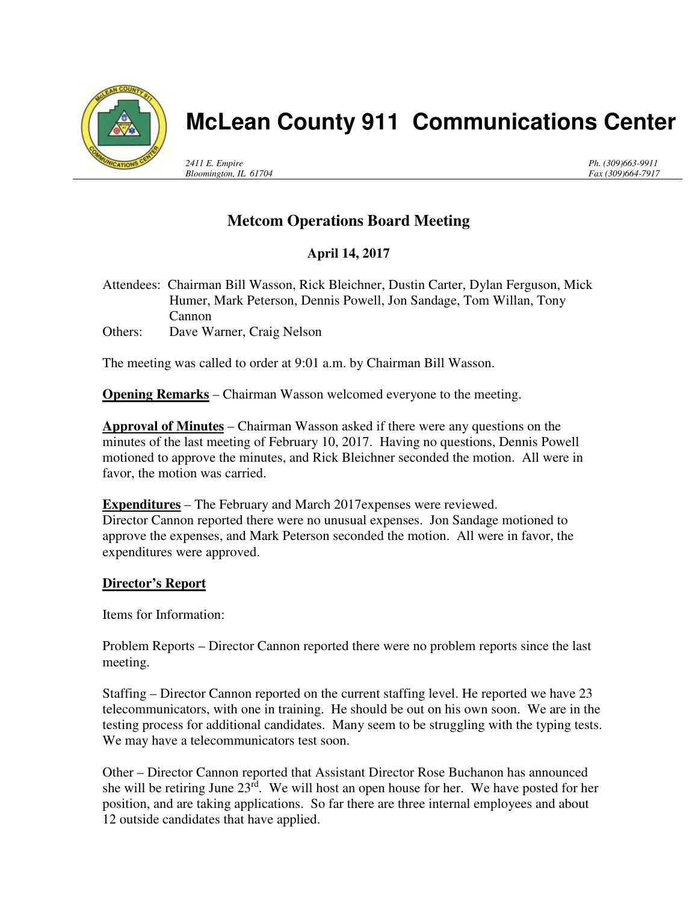

# **McLean County 911 Communications Center**

*2411 E. Empire Bloomington, IL 61704* *Ph. (309)663-9911 Fax (309)664-7917*

## **Metcom Operations Board Meeting**

## **April 14, 2017**

Attendees: Chairman Bill Wasson, Rick Bleichner, Dustin Carter, Dylan Ferguson, Mick Humer, Mark Peterson, Dennis Powell, Jon Sandage, Tom Willan, Tony Cannon Others: Dave Warner, Craig Nelson

The meeting was called to order at 9:01 a.m. by Chairman Bill Wasson.

**Opening Remarks** – Chairman Wasson welcomed everyone to the meeting.

**Approval of Minutes** – Chairman Wasson asked if there were any questions on the minutes of the last meeting of February 10, 2017. Having no questions, Dennis Powell motioned to approve the minutes, and Rick Bleichner seconded the motion. All were in favor, the motion was carried.

**Expenditures** – The February and March 2017expenses were reviewed. Director Cannon reported there were no unusual expenses. Jon Sandage motioned to approve the expenses, and Mark Peterson seconded the motion. All were in favor, the expenditures were approved.

#### **Director's Report**

Items for Information:

Problem Reports – Director Cannon reported there were no problem reports since the last meeting.

Staffing – Director Cannon reported on the current staffing level. He reported we have 23 telecommunicators, with one in training. He should be out on his own soon. We are in the testing process for additional candidates. Many seem to be struggling with the typing tests. We may have a telecommunicators test soon.

Other – Director Cannon reported that Assistant Director Rose Buchanon has announced she will be retiring June  $23^{rd}$ . We will host an open house for her. We have posted for her position, and are taking applications. So far there are three internal employees and about 12 outside candidates that have applied.